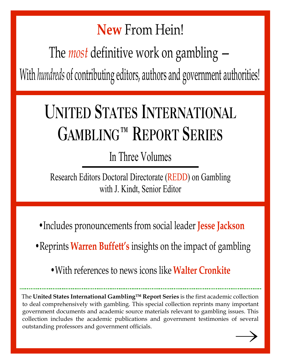## New From Hein!

The *most* definitive work on gambling  $-$ 

With hundreds of contributing editors, authors and government authorities!

# UNITED STATES INTERNATIONAL GAMBLING™ REPORT SERIES

In Three Volumes

Research Editors Doctoral Directorate (REDD) on Gambling with J. Kindt, Senior Editor

• Includes pronouncements from social leader Jesse Jackson

• Reprints Warren Buffett's insights on the impact of gambling

• With references to news icons like **Walter Cronkite** 

The United States International Gambling™ Report Series is the first academic collection to deal comprehensively with gambling. This special collection reprints many important government documents and academic source materials relevant to gambling issues. This collection includes the academic publications and government testimonies of several outstanding professors and government officials.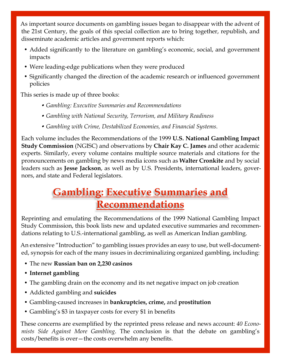As important source documents on gambling issues began to disappear with the advent of the 21st Century, the goals of this special collection are to bring together, republish, and disseminate academic articles and government reports which:

- Added significantly to the literature on gambling's economic, social, and government impacts
- Were leading-edge publications when they were produced
- Significantly changed the direction of the academic research or influenced government policies

This series is made up of three books:

- Gambling: Executive Summaries and Recommendations
- Gambling with National Security, Terrorism, and Military Readiness
- Gambling with Crime, Destabilized Economies, and Financial Systems.

Each volume includes the Recommendations of the 1999 U.S. National Gambling Impact Study Commission (NGISC) and observations by Chair Kay C. James and other academic experts. Similarly, every volume contains multiple source materials and citations for the pronouncements on gambling by news media icons such as Walter Cronkite and by social leaders such as Jesse Jackson, as well as by U.S. Presidents, international leaders, governors, and state and Federal legislators.

## Gambling: Executive Summaries and Recommendations

Reprinting and emulating the Recommendations of the 1999 National Gambling Impact Study Commission, this book lists new and updated executive summaries and recommendations relating to U.S.-international gambling, as well as American Indian gambling.

An extensive "Introduction" to gambling issues provides an easy to use, but well-documented, synopsis for each of the many issues in decriminalizing organized gambling, including:

- The new Russian ban on 2,230 casinos
- Internet gambling
- The gambling drain on the economy and its net negative impact on job creation
- Addicted gambling and **suicides**
- Gambling-caused increases in **bankruptcies, crime,** and **prostitution**
- Gambling's \$3 in taxpayer costs for every \$1 in benefits

These concerns are exemplified by the reprinted press release and news account: 40 Economists Side Against More Gambling. The conclusion is that the debate on gambling's costs/benefits is over—the costs overwhelm any benefits.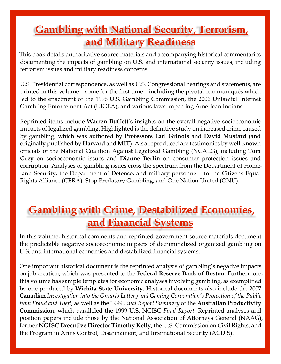## Gambling with National Security, Terrorism, and Military Readiness

This book details authoritative source materials and accompanying historical commentaries documenting the impacts of gambling on U.S. and international security issues, including terrorism issues and military readiness concerns.

U.S. Presidential correspondence, as well as U.S. Congressional hearings and statements, are printed in this volume—some for the first time—including the pivotal communiqués which led to the enactment of the 1996 U.S. Gambling Commission, the 2006 Unlawful Internet Gambling Enforcement Act (UIGEA), and various laws impacting American Indians.

Reprinted items include **Warren Buffett's** insights on the overall negative socioeconomic impacts of legalized gambling. Highlighted is the definitive study on increased crime caused by gambling, which was authored by Professors Earl Grinols and David Mustard (and originally published by **Harvard** and **MIT**). Also reproduced are testimonies by well-known officials of the National Coalition Against Legalized Gambling (NCALG), including Tom Grey on socioeconomic issues and Dianne Berlin on consumer protection issues and corruption. Analyses of gambling issues cross the spectrum from the Department of Homeland Security, the Department of Defense, and military personnel—to the Citizens Equal Rights Alliance (CERA), Stop Predatory Gambling, and One Nation United (ONU).

## Gambling with Crime, Destabilized Economies, and Financial Systems

In this volume, historical comments and reprinted government source materials document the predictable negative socioeconomic impacts of decriminalized organized gambling on U.S. and international economies and destabilized financial systems.

One important historical document is the reprinted analysis of gambling's negative impacts on job creation, which was presented to the Federal Reserve Bank of Boston. Furthermore, this volume has sample templates for economic analyses involving gambling, as exemplified by one produced by Wichita State University. Historical documents also include the 2007 Canadian Investigation into the Ontario Lottery and Gaming Corporation's Protection of the Public from Fraud and Theft, as well as the 1999 Final Report Summary of the **Australian Productivity** Commission, which paralleled the 1999 U.S. NGISC Final Report. Reprinted analyses and position papers include those by the National Association of Attorneys General (NAAG), former **NGISC Executive Director Timothy Kelly**, the U.S. Commission on Civil Rights, and the Program in Arms Control, Disarmament, and International Security (ACDIS).